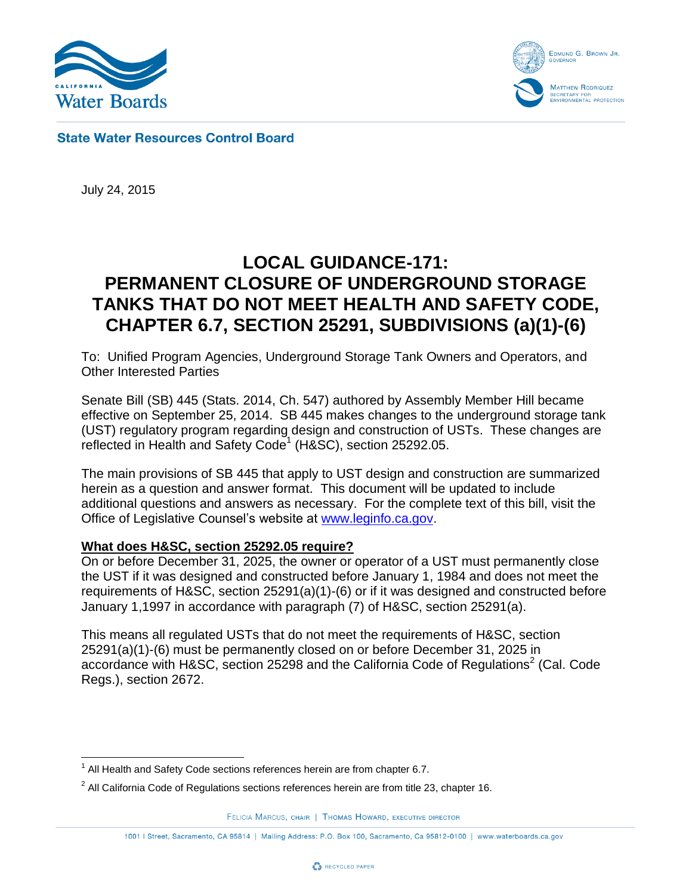



**State Water Resources Control Board** 

July 24, 2015

# **LOCAL GUIDANCE-171: PERMANENT CLOSURE OF UNDERGROUND STORAGE TANKS THAT DO NOT MEET HEALTH AND SAFETY CODE, CHAPTER 6.7, SECTION 25291, SUBDIVISIONS (a)(1)-(6)**

To: Unified Program Agencies, Underground Storage Tank Owners and Operators, and Other Interested Parties

Senate Bill (SB) 445 (Stats. 2014, Ch. 547) authored by Assembly Member Hill became effective on September 25, 2014. SB 445 makes changes to the underground storage tank (UST) regulatory program regarding design and construction of USTs. These changes are reflected in Health and Safety Code<sup>1</sup> (H&SC), section 25292.05.

The main provisions of SB 445 that apply to UST design and construction are summarized herein as a question and answer format. This document will be updated to include additional questions and answers as necessary. For the complete text of this bill, visit the Office of Legislative Counsel's website at [www.leginfo.ca.gov.](http://www.leginfo.ca.gov/)

# **What does H&SC, section 25292.05 require?**

On or before December 31, 2025, the owner or operator of a UST must permanently close the UST if it was designed and constructed before January 1, 1984 and does not meet the requirements of H&SC, section 25291(a)(1)-(6) or if it was designed and constructed before January 1,1997 in accordance with paragraph (7) of H&SC, section 25291(a).

This means all regulated USTs that do not meet the requirements of H&SC, section 25291(a)(1)-(6) must be permanently closed on or before December 31, 2025 in accordance with H&SC, section 25298 and the California Code of Regulations<sup>2</sup> (Cal. Code Regs.), section 2672.

FELICIA MARCUS, CHAIR | THOMAS HOWARD, EXECUTIVE DIRECTOR



 $\overline{a}$  $1$  All Health and Safety Code sections references herein are from chapter 6.7.

 $^2$  All California Code of Regulations sections references herein are from title 23, chapter 16.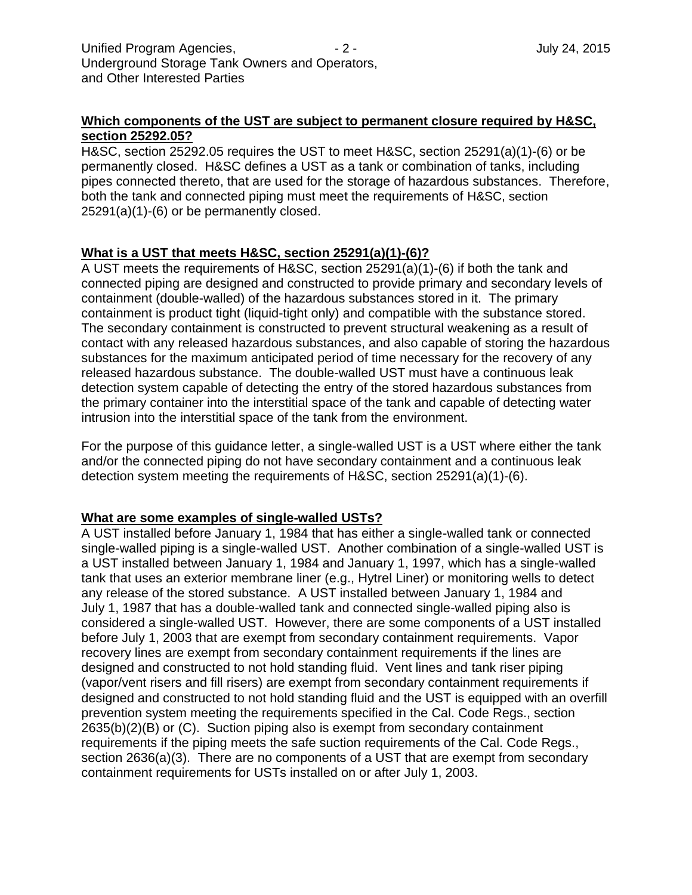## **Which components of the UST are subject to permanent closure required by H&SC, section 25292.05?**

H&SC, section 25292.05 requires the UST to meet H&SC, section 25291(a)(1)-(6) or be permanently closed. H&SC defines a UST as a tank or combination of tanks, including pipes connected thereto, that are used for the storage of hazardous substances. Therefore, both the tank and connected piping must meet the requirements of H&SC, section 25291(a)(1)-(6) or be permanently closed.

# **What is a UST that meets H&SC, section 25291(a)(1)-(6)?**

A UST meets the requirements of H&SC, section 25291(a)(1)-(6) if both the tank and connected piping are designed and constructed to provide primary and secondary levels of containment (double-walled) of the hazardous substances stored in it. The primary containment is product tight (liquid-tight only) and compatible with the substance stored. The secondary containment is constructed to prevent structural weakening as a result of contact with any released hazardous substances, and also capable of storing the hazardous substances for the maximum anticipated period of time necessary for the recovery of any released hazardous substance. The double-walled UST must have a continuous leak detection system capable of detecting the entry of the stored hazardous substances from the primary container into the interstitial space of the tank and capable of detecting water intrusion into the interstitial space of the tank from the environment.

For the purpose of this guidance letter, a single-walled UST is a UST where either the tank and/or the connected piping do not have secondary containment and a continuous leak detection system meeting the requirements of H&SC, section 25291(a)(1)-(6).

## **What are some examples of single-walled USTs?**

A UST installed before January 1, 1984 that has either a single-walled tank or connected single-walled piping is a single-walled UST. Another combination of a single-walled UST is a UST installed between January 1, 1984 and January 1, 1997, which has a single-walled tank that uses an exterior membrane liner (e.g., Hytrel Liner) or monitoring wells to detect any release of the stored substance. A UST installed between January 1, 1984 and July 1, 1987 that has a double-walled tank and connected single-walled piping also is considered a single-walled UST. However, there are some components of a UST installed before July 1, 2003 that are exempt from secondary containment requirements. Vapor recovery lines are exempt from secondary containment requirements if the lines are designed and constructed to not hold standing fluid. Vent lines and tank riser piping (vapor/vent risers and fill risers) are exempt from secondary containment requirements if designed and constructed to not hold standing fluid and the UST is equipped with an overfill prevention system meeting the requirements specified in the Cal. Code Regs., section 2635(b)(2)(B) or (C). Suction piping also is exempt from secondary containment requirements if the piping meets the safe suction requirements of the Cal. Code Regs., section 2636(a)(3). There are no components of a UST that are exempt from secondary containment requirements for USTs installed on or after July 1, 2003.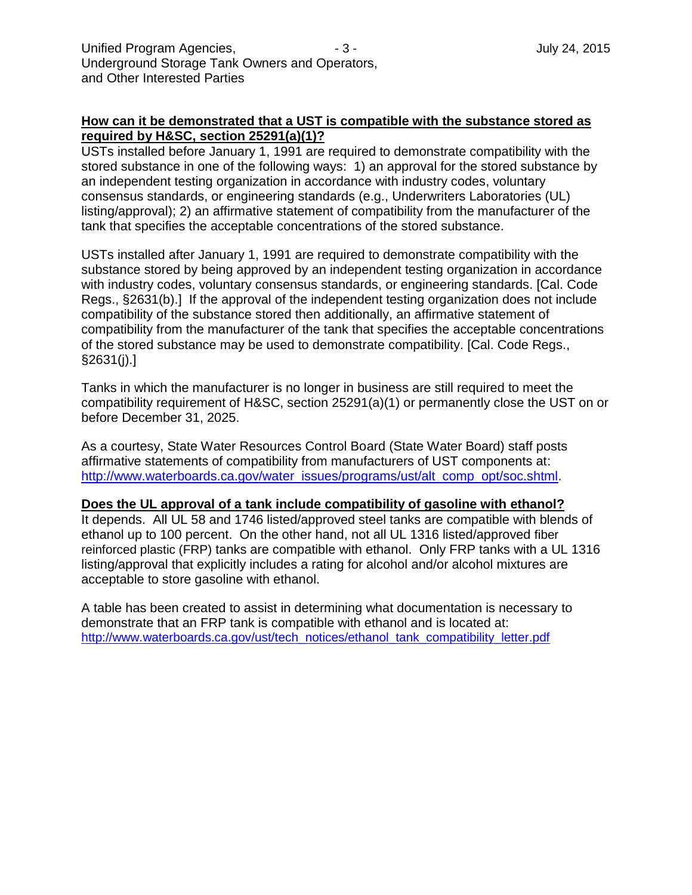## **How can it be demonstrated that a UST is compatible with the substance stored as required by H&SC, section 25291(a)(1)?**

USTs installed before January 1, 1991 are required to demonstrate compatibility with the stored substance in one of the following ways: 1) an approval for the stored substance by an independent testing organization in accordance with industry codes, voluntary consensus standards, or engineering standards (e.g., Underwriters Laboratories (UL) listing/approval); 2) an affirmative statement of compatibility from the manufacturer of the tank that specifies the acceptable concentrations of the stored substance.

USTs installed after January 1, 1991 are required to demonstrate compatibility with the substance stored by being approved by an independent testing organization in accordance with industry codes, voluntary consensus standards, or engineering standards. [Cal. Code Regs., §2631(b).] If the approval of the independent testing organization does not include compatibility of the substance stored then additionally, an affirmative statement of compatibility from the manufacturer of the tank that specifies the acceptable concentrations of the stored substance may be used to demonstrate compatibility. [Cal. Code Regs., §2631(j).]

Tanks in which the manufacturer is no longer in business are still required to meet the compatibility requirement of H&SC, section 25291(a)(1) or permanently close the UST on or before December 31, 2025.

As a courtesy, State Water Resources Control Board (State Water Board) staff posts affirmative statements of compatibility from manufacturers of UST components at: [http://www.waterboards.ca.gov/water\\_issues/programs/ust/alt\\_comp\\_opt/soc.shtml.](http://www.waterboards.ca.gov/water_issues/programs/ust/alt_comp_opt/soc.shtml)

#### **Does the UL approval of a tank include compatibility of gasoline with ethanol?**

It depends. All UL 58 and 1746 listed/approved steel tanks are compatible with blends of ethanol up to 100 percent. On the other hand, not all UL 1316 listed/approved fiber reinforced plastic (FRP) tanks are compatible with ethanol. Only FRP tanks with a UL 1316 listing/approval that explicitly includes a rating for alcohol and/or alcohol mixtures are acceptable to store gasoline with ethanol.

A table has been created to assist in determining what documentation is necessary to demonstrate that an FRP tank is compatible with ethanol and is located at: [http://www.waterboards.ca.gov/ust/tech\\_notices/ethanol\\_tank\\_compatibility\\_letter.pdf](http://www.waterboards.ca.gov/ust/tech_notices/ethanol_tank_compatibility_letter.pdf)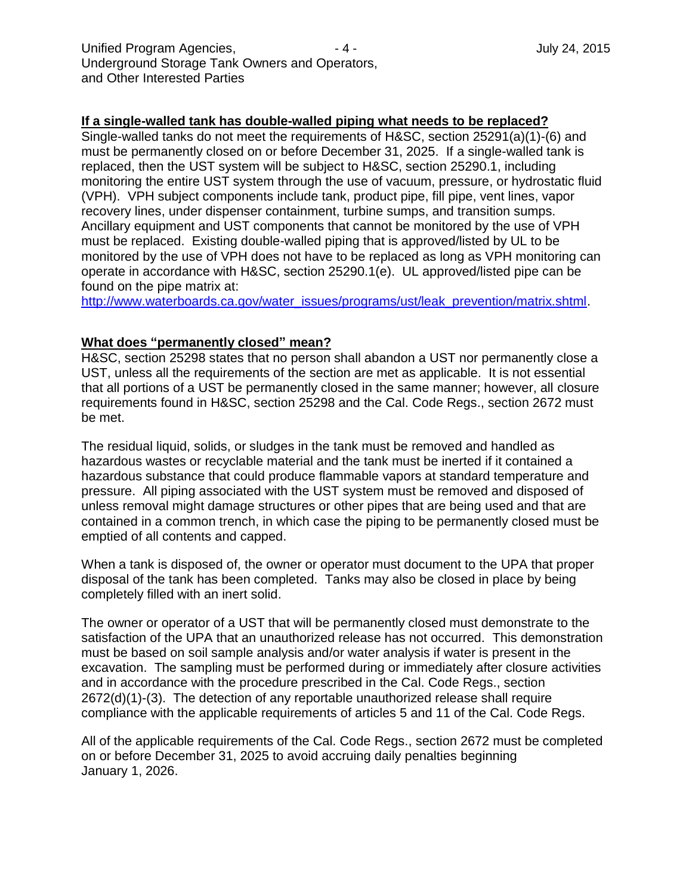#### **If a single-walled tank has double-walled piping what needs to be replaced?**

Single-walled tanks do not meet the requirements of H&SC, section 25291(a)(1)-(6) and must be permanently closed on or before December 31, 2025. If a single-walled tank is replaced, then the UST system will be subject to H&SC, section 25290.1, including monitoring the entire UST system through the use of vacuum, pressure, or hydrostatic fluid (VPH). VPH subject components include tank, product pipe, fill pipe, vent lines, vapor recovery lines, under dispenser containment, turbine sumps, and transition sumps. Ancillary equipment and UST components that cannot be monitored by the use of VPH must be replaced. Existing double-walled piping that is approved/listed by UL to be monitored by the use of VPH does not have to be replaced as long as VPH monitoring can operate in accordance with H&SC, section 25290.1(e). UL approved/listed pipe can be found on the pipe matrix at:

[http://www.waterboards.ca.gov/water\\_issues/programs/ust/leak\\_prevention/matrix.shtml.](http://www.waterboards.ca.gov/water_issues/programs/ust/leak_prevention/matrix.shtml)

#### **What does "permanently closed" mean?**

H&SC, section 25298 states that no person shall abandon a UST nor permanently close a UST, unless all the requirements of the section are met as applicable. It is not essential that all portions of a UST be permanently closed in the same manner; however, all closure requirements found in H&SC, section 25298 and the Cal. Code Regs., section 2672 must be met.

The residual liquid, solids, or sludges in the tank must be removed and handled as hazardous wastes or recyclable material and the tank must be inerted if it contained a hazardous substance that could produce flammable vapors at standard temperature and pressure. All piping associated with the UST system must be removed and disposed of unless removal might damage structures or other pipes that are being used and that are contained in a common trench, in which case the piping to be permanently closed must be emptied of all contents and capped.

When a tank is disposed of, the owner or operator must document to the UPA that proper disposal of the tank has been completed. Tanks may also be closed in place by being completely filled with an inert solid.

The owner or operator of a UST that will be permanently closed must demonstrate to the satisfaction of the UPA that an unauthorized release has not occurred. This demonstration must be based on soil sample analysis and/or water analysis if water is present in the excavation. The sampling must be performed during or immediately after closure activities and in accordance with the procedure prescribed in the Cal. Code Regs., section 2672(d)(1)-(3). The detection of any reportable unauthorized release shall require compliance with the applicable requirements of articles 5 and 11 of the Cal. Code Regs.

All of the applicable requirements of the Cal. Code Regs., section 2672 must be completed on or before December 31, 2025 to avoid accruing daily penalties beginning January 1, 2026.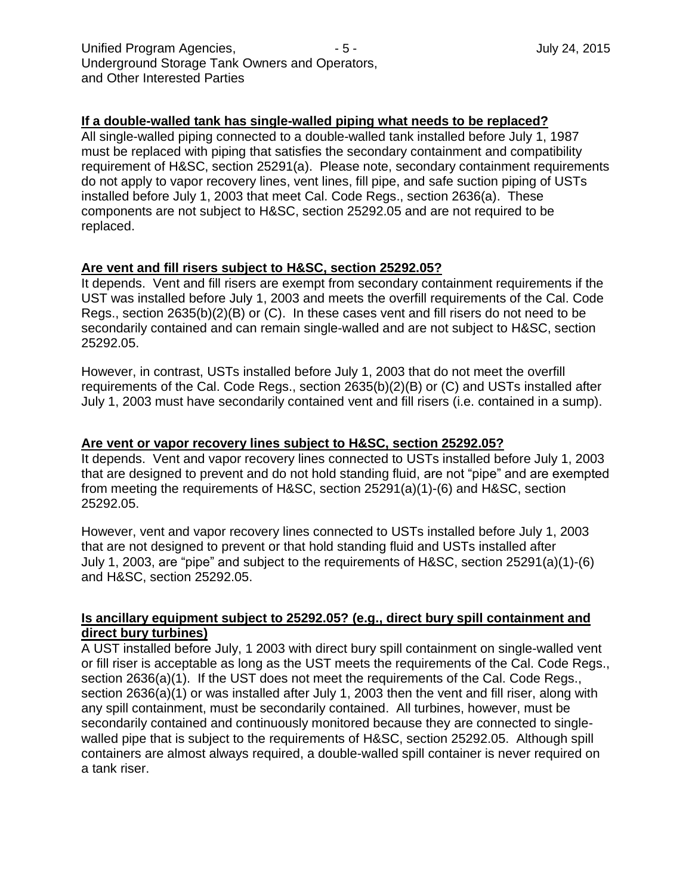## **If a double-walled tank has single-walled piping what needs to be replaced?**

All single-walled piping connected to a double-walled tank installed before July 1, 1987 must be replaced with piping that satisfies the secondary containment and compatibility requirement of H&SC, section 25291(a). Please note, secondary containment requirements do not apply to vapor recovery lines, vent lines, fill pipe, and safe suction piping of USTs installed before July 1, 2003 that meet Cal. Code Regs., section 2636(a). These components are not subject to H&SC, section 25292.05 and are not required to be replaced.

#### **Are vent and fill risers subject to H&SC, section 25292.05?**

It depends. Vent and fill risers are exempt from secondary containment requirements if the UST was installed before July 1, 2003 and meets the overfill requirements of the Cal. Code Regs., section 2635(b)(2)(B) or (C). In these cases vent and fill risers do not need to be secondarily contained and can remain single-walled and are not subject to H&SC, section 25292.05.

However, in contrast, USTs installed before July 1, 2003 that do not meet the overfill requirements of the Cal. Code Regs., section 2635(b)(2)(B) or (C) and USTs installed after July 1, 2003 must have secondarily contained vent and fill risers (i.e. contained in a sump).

#### **Are vent or vapor recovery lines subject to H&SC, section 25292.05?**

It depends. Vent and vapor recovery lines connected to USTs installed before July 1, 2003 that are designed to prevent and do not hold standing fluid, are not "pipe" and are exempted from meeting the requirements of H&SC, section 25291(a)(1)-(6) and H&SC, section 25292.05.

However, vent and vapor recovery lines connected to USTs installed before July 1, 2003 that are not designed to prevent or that hold standing fluid and USTs installed after July 1, 2003, are "pipe" and subject to the requirements of H&SC, section 25291(a)(1)-(6) and H&SC, section 25292.05.

## **Is ancillary equipment subject to 25292.05? (e.g., direct bury spill containment and direct bury turbines)**

A UST installed before July, 1 2003 with direct bury spill containment on single-walled vent or fill riser is acceptable as long as the UST meets the requirements of the Cal. Code Regs., section 2636(a)(1). If the UST does not meet the requirements of the Cal. Code Regs., section 2636(a)(1) or was installed after July 1, 2003 then the vent and fill riser, along with any spill containment, must be secondarily contained. All turbines, however, must be secondarily contained and continuously monitored because they are connected to singlewalled pipe that is subject to the requirements of H&SC, section 25292.05. Although spill containers are almost always required, a double-walled spill container is never required on a tank riser.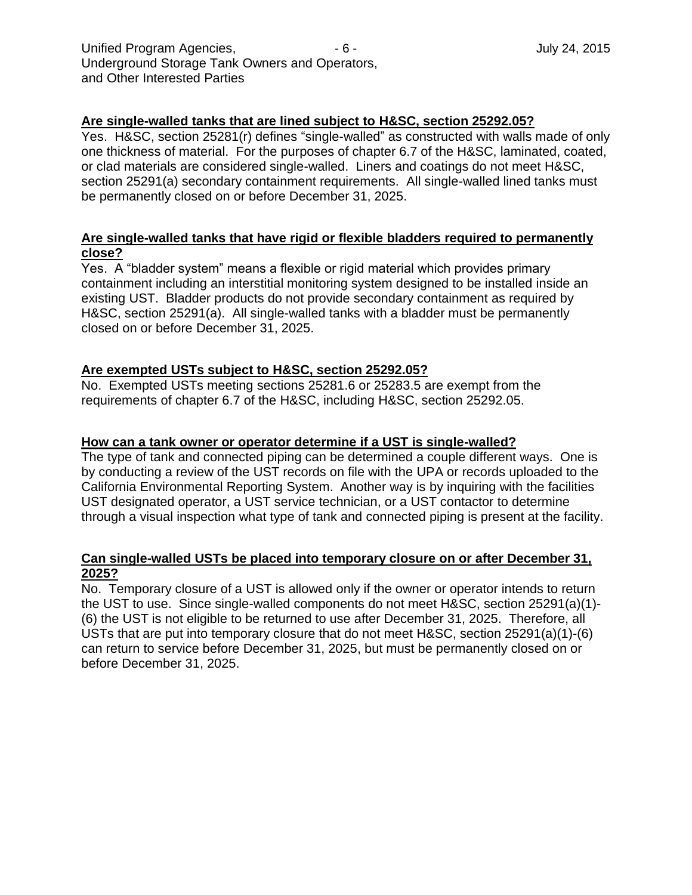#### **Are single-walled tanks that are lined subject to H&SC, section 25292.05?**

Yes. H&SC, section 25281(r) defines "single-walled" as constructed with walls made of only one thickness of material. For the purposes of chapter 6.7 of the H&SC, laminated, coated, or clad materials are considered single-walled. Liners and coatings do not meet H&SC, section 25291(a) secondary containment requirements. All single-walled lined tanks must be permanently closed on or before December 31, 2025.

# **Are single-walled tanks that have rigid or flexible bladders required to permanently close?**

Yes. A "bladder system" means a flexible or rigid material which provides primary containment including an interstitial monitoring system designed to be installed inside an existing UST. Bladder products do not provide secondary containment as required by H&SC, section 25291(a). All single-walled tanks with a bladder must be permanently closed on or before December 31, 2025.

#### **Are exempted USTs subject to H&SC, section 25292.05?**

No. Exempted USTs meeting sections 25281.6 or 25283.5 are exempt from the requirements of chapter 6.7 of the H&SC, including H&SC, section 25292.05.

#### **How can a tank owner or operator determine if a UST is single-walled?**

The type of tank and connected piping can be determined a couple different ways. One is by conducting a review of the UST records on file with the UPA or records uploaded to the California Environmental Reporting System. Another way is by inquiring with the facilities UST designated operator, a UST service technician, or a UST contactor to determine through a visual inspection what type of tank and connected piping is present at the facility.

#### **Can single-walled USTs be placed into temporary closure on or after December 31, 2025?**

No. Temporary closure of a UST is allowed only if the owner or operator intends to return the UST to use. Since single-walled components do not meet H&SC, section 25291(a)(1)- (6) the UST is not eligible to be returned to use after December 31, 2025. Therefore, all USTs that are put into temporary closure that do not meet H&SC, section 25291(a)(1)-(6) can return to service before December 31, 2025, but must be permanently closed on or before December 31, 2025.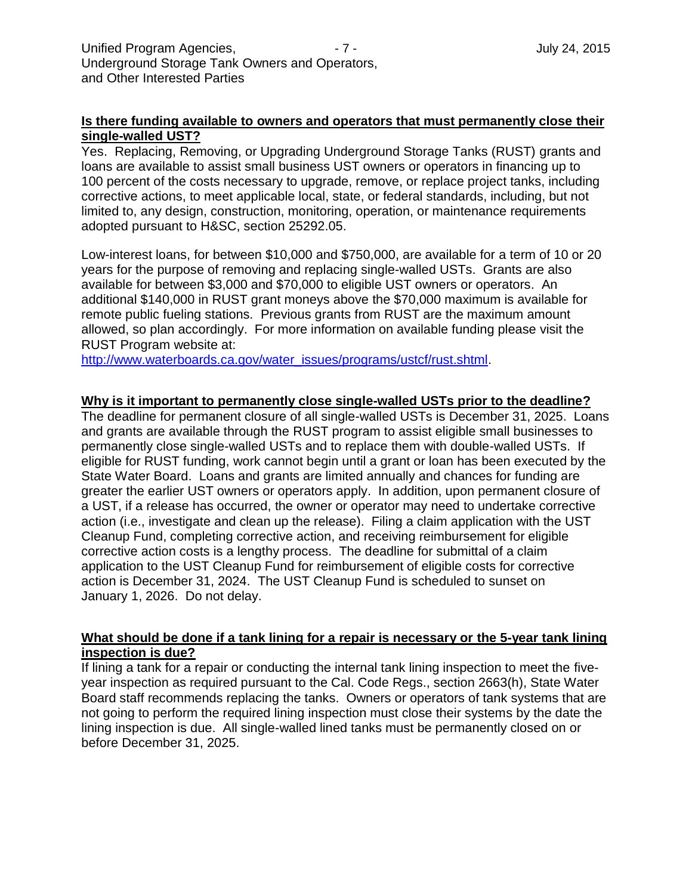## **Is there funding available to owners and operators that must permanently close their single-walled UST?**

Yes. Replacing, Removing, or Upgrading Underground Storage Tanks (RUST) grants and loans are available to assist small business UST owners or operators in financing up to 100 percent of the costs necessary to upgrade, remove, or replace project tanks, including corrective actions, to meet applicable local, state, or federal standards, including, but not limited to, any design, construction, monitoring, operation, or maintenance requirements adopted pursuant to H&SC, section 25292.05.

Low-interest loans, for between \$10,000 and \$750,000, are available for a term of 10 or 20 years for the purpose of removing and replacing single-walled USTs. Grants are also available for between \$3,000 and \$70,000 to eligible UST owners or operators. An additional \$140,000 in RUST grant moneys above the \$70,000 maximum is available for remote public fueling stations. Previous grants from RUST are the maximum amount allowed, so plan accordingly. For more information on available funding please visit the RUST Program website at:

[http://www.waterboards.ca.gov/water\\_issues/programs/ustcf/rust.shtml.](http://www.waterboards.ca.gov/water_issues/programs/ustcf/rust.shtml)

#### **Why is it important to permanently close single-walled USTs prior to the deadline?**

The deadline for permanent closure of all single-walled USTs is December 31, 2025. Loans and grants are available through the RUST program to assist eligible small businesses to permanently close single-walled USTs and to replace them with double-walled USTs. If eligible for RUST funding, work cannot begin until a grant or loan has been executed by the State Water Board. Loans and grants are limited annually and chances for funding are greater the earlier UST owners or operators apply. In addition, upon permanent closure of a UST, if a release has occurred, the owner or operator may need to undertake corrective action (i.e., investigate and clean up the release). Filing a claim application with the UST Cleanup Fund, completing corrective action, and receiving reimbursement for eligible corrective action costs is a lengthy process. The deadline for submittal of a claim application to the UST Cleanup Fund for reimbursement of eligible costs for corrective action is December 31, 2024. The UST Cleanup Fund is scheduled to sunset on January 1, 2026. Do not delay.

## **What should be done if a tank lining for a repair is necessary or the 5-year tank lining inspection is due?**

If lining a tank for a repair or conducting the internal tank lining inspection to meet the fiveyear inspection as required pursuant to the Cal. Code Regs., section 2663(h), State Water Board staff recommends replacing the tanks. Owners or operators of tank systems that are not going to perform the required lining inspection must close their systems by the date the lining inspection is due. All single-walled lined tanks must be permanently closed on or before December 31, 2025.